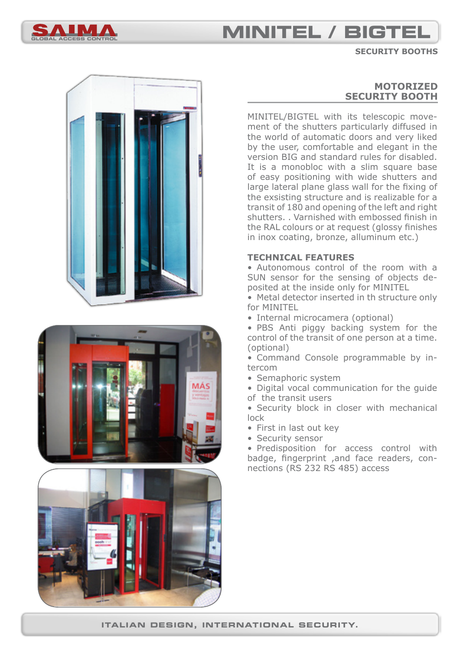

## **global access control minitel / bigtel**

#### **security booths**







## **MOTORIZED SECURITY BOOTH**

MINITEL/BIGTEL with its telescopic movement of the shutters particularly diffused in the world of automatic doors and very liked by the user, comfortable and elegant in the version BIG and standard rules for disabled. It is a monobloc with a slim square base of easy positioning with wide shutters and large lateral plane glass wall for the fixing of the exsisting structure and is realizable for a transit of 180 and opening of the left and right shutters. . Varnished with embossed finish in the RAL colours or at request (glossy finishes in inox coating, bronze, alluminum etc.)

### **TECHNICAL FEATURES**

• Autonomous control of the room with a SUN sensor for the sensing of objects deposited at the inside only for MINITEL

• Metal detector inserted in th structure only for MINITEL

• Internal microcamera (optional)

• PBS Anti piggy backing system for the control of the transit of one person at a time. (optional)

• Command Console programmable by intercom

- Semaphoric system
- Digital vocal communication for the guide of the transit users

• Security block in closer with mechanical lock

- First in last out key
- Security sensor

• Predisposition for access control with badge, fingerprint ,and face readers, connections (RS 232 RS 485) access